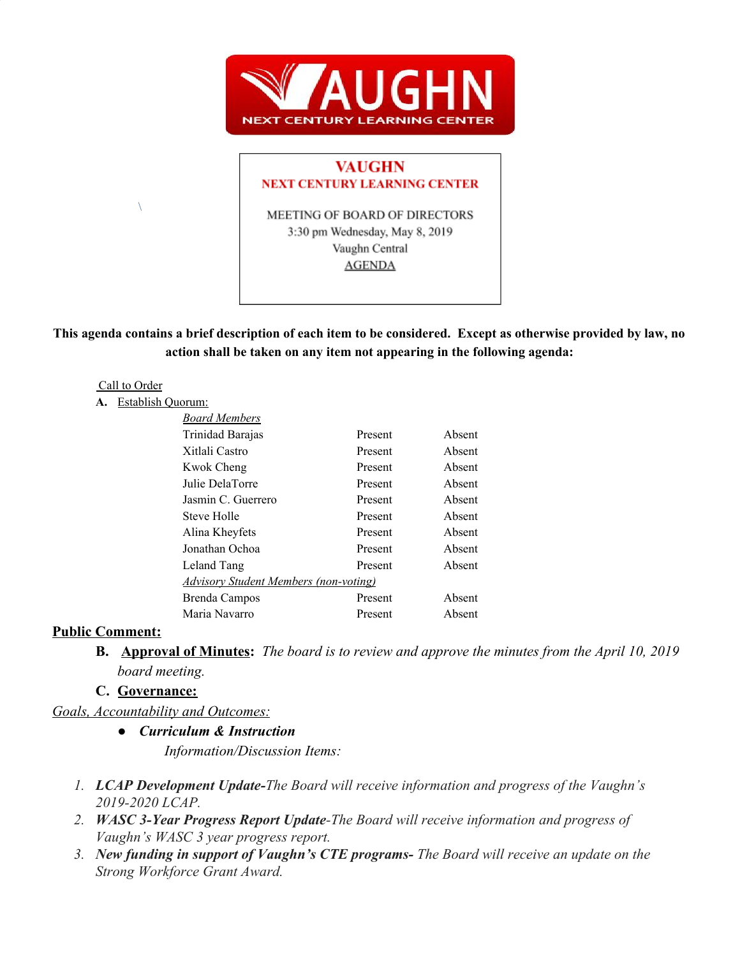

### **VAUGHN NEXT CENTURY LEARNING CENTER**

MEETING OF BOARD OF DIRECTORS 3:30 pm Wednesday, May 8, 2019 Vaughn Central **AGENDA** 

This agenda contains a brief description of each item to be considered. Except as otherwise provided by law, no **action shall be taken on any item not appearing in the following agenda:**

#### Call to Order

 $\setminus$ 

#### **A.** Establish Quorum:

| <b>Board Members</b>                         |         |        |
|----------------------------------------------|---------|--------|
| Trinidad Barajas                             | Present | Absent |
| Xitlali Castro                               | Present | Absent |
| Kwok Cheng                                   | Present | Absent |
| Julie DelaTorre                              | Present | Absent |
| Jasmin C. Guerrero                           | Present | Absent |
| Steve Holle                                  | Present | Absent |
| Alina Kheyfets                               | Present | Absent |
| Jonathan Ochoa                               | Present | Absent |
| Leland Tang                                  | Present | Absent |
| <b>Advisory Student Members (non-voting)</b> |         |        |
| Brenda Campos                                | Present | Absent |
| Maria Navarro                                | Present | Absent |

#### **Public Comment:**

**B. Approval of Minutes:** *The board is to review and approve the minutes from the April 10, 2019 board meeting.*

## **C. Governance:**

*Goals, Accountability and Outcomes:*

- *● Curriculum & Instruction Information/Discussion Items:*
- *1. LCAP Development Update-The Board will receive information and progress of the Vaughn's 2019-2020 LCAP.*
- *2. WASC 3-Year Progress Report Update-The Board will receive information and progress of Vaughn's WASC 3 year progress report.*
- *3. New funding in support of Vaughn's CTE programs- The Board will receive an update on the Strong Workforce Grant Award.*